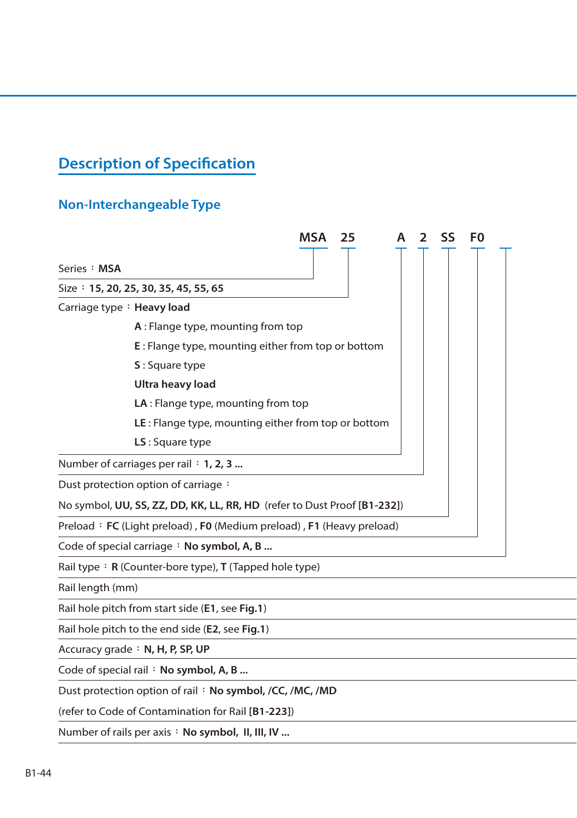## **Description of Specification**

## **Non-Interchangeable Type**

|                  | <b>MSA</b><br>25                                                         | SS | F0 |
|------------------|--------------------------------------------------------------------------|----|----|
| Series : MSA     |                                                                          |    |    |
|                  | Size: 15, 20, 25, 30, 35, 45, 55, 65                                     |    |    |
|                  | Carriage type: Heavy load                                                |    |    |
|                  | A: Flange type, mounting from top                                        |    |    |
|                  | E: Flange type, mounting either from top or bottom                       |    |    |
|                  | S: Square type                                                           |    |    |
|                  | Ultra heavy load                                                         |    |    |
|                  | LA : Flange type, mounting from top                                      |    |    |
|                  | LE: Flange type, mounting either from top or bottom                      |    |    |
|                  | LS: Square type                                                          |    |    |
|                  | Number of carriages per rail : 1, 2, 3                                   |    |    |
|                  | Dust protection option of carriage:                                      |    |    |
|                  | No symbol, UU, SS, ZZ, DD, KK, LL, RR, HD (refer to Dust Proof [B1-232]) |    |    |
|                  | Preload: FC (Light preload), F0 (Medium preload), F1 (Heavy preload)     |    |    |
|                  | Code of special carriage : No symbol, A, B                               |    |    |
|                  | Rail type: $R$ (Counter-bore type), T (Tapped hole type)                 |    |    |
| Rail length (mm) |                                                                          |    |    |
|                  | Rail hole pitch from start side (E1, see Fig.1)                          |    |    |

Rail hole pitch to the end side (**E2**, see **Fig.1**)

Accuracy grade: N, H, P, SP, UP

Code of special rail: No symbol, A, B ...

Dust protection option of rail: No symbol, /CC, /MC, /MD

(refer to Code of Contamination for Rail **[B1-223]**)

Number of rails per axis : No symbol, II, III, IV ...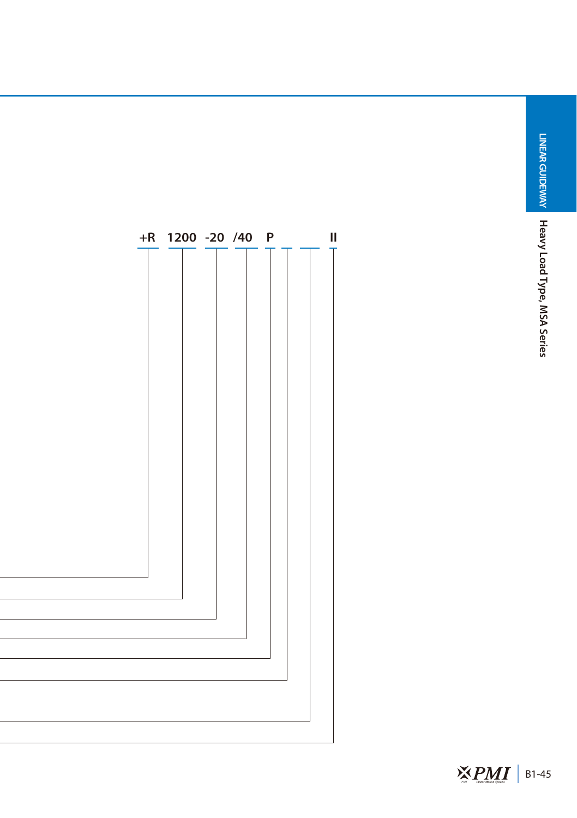**LINEAR GUIDEWAY** 

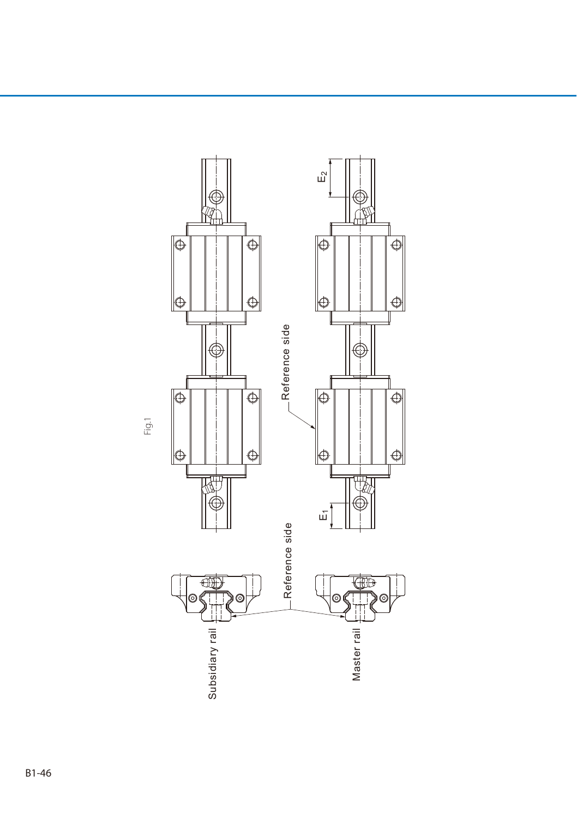